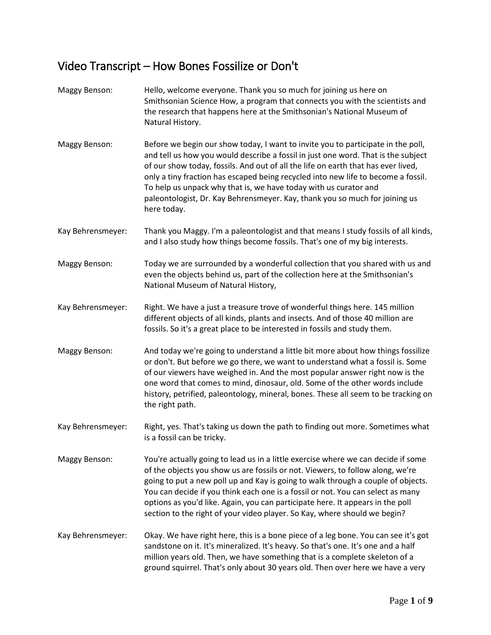## Video Transcript – How Bones Fossilize or Don't

| <b>Maggy Benson:</b> | Hello, welcome everyone. Thank you so much for joining us here on<br>Smithsonian Science How, a program that connects you with the scientists and<br>the research that happens here at the Smithsonian's National Museum of<br>Natural History.                                                                                                                                                                                                                                                                   |
|----------------------|-------------------------------------------------------------------------------------------------------------------------------------------------------------------------------------------------------------------------------------------------------------------------------------------------------------------------------------------------------------------------------------------------------------------------------------------------------------------------------------------------------------------|
| Maggy Benson:        | Before we begin our show today, I want to invite you to participate in the poll,<br>and tell us how you would describe a fossil in just one word. That is the subject<br>of our show today, fossils. And out of all the life on earth that has ever lived,<br>only a tiny fraction has escaped being recycled into new life to become a fossil.<br>To help us unpack why that is, we have today with us curator and<br>paleontologist, Dr. Kay Behrensmeyer. Kay, thank you so much for joining us<br>here today. |
| Kay Behrensmeyer:    | Thank you Maggy. I'm a paleontologist and that means I study fossils of all kinds,<br>and I also study how things become fossils. That's one of my big interests.                                                                                                                                                                                                                                                                                                                                                 |
| Maggy Benson:        | Today we are surrounded by a wonderful collection that you shared with us and<br>even the objects behind us, part of the collection here at the Smithsonian's<br>National Museum of Natural History,                                                                                                                                                                                                                                                                                                              |
| Kay Behrensmeyer:    | Right. We have a just a treasure trove of wonderful things here. 145 million<br>different objects of all kinds, plants and insects. And of those 40 million are<br>fossils. So it's a great place to be interested in fossils and study them.                                                                                                                                                                                                                                                                     |
| <b>Maggy Benson:</b> | And today we're going to understand a little bit more about how things fossilize<br>or don't. But before we go there, we want to understand what a fossil is. Some<br>of our viewers have weighed in. And the most popular answer right now is the<br>one word that comes to mind, dinosaur, old. Some of the other words include<br>history, petrified, paleontology, mineral, bones. These all seem to be tracking on<br>the right path.                                                                        |
| Kay Behrensmeyer:    | Right, yes. That's taking us down the path to finding out more. Sometimes what<br>is a fossil can be tricky.                                                                                                                                                                                                                                                                                                                                                                                                      |
| <b>Maggy Benson:</b> | You're actually going to lead us in a little exercise where we can decide if some<br>of the objects you show us are fossils or not. Viewers, to follow along, we're<br>going to put a new poll up and Kay is going to walk through a couple of objects.<br>You can decide if you think each one is a fossil or not. You can select as many<br>options as you'd like. Again, you can participate here. It appears in the poll<br>section to the right of your video player. So Kay, where should we begin?         |
| Kay Behrensmeyer:    | Okay. We have right here, this is a bone piece of a leg bone. You can see it's got<br>sandstone on it. It's mineralized. It's heavy. So that's one. It's one and a half<br>million years old. Then, we have something that is a complete skeleton of a<br>ground squirrel. That's only about 30 years old. Then over here we have a very                                                                                                                                                                          |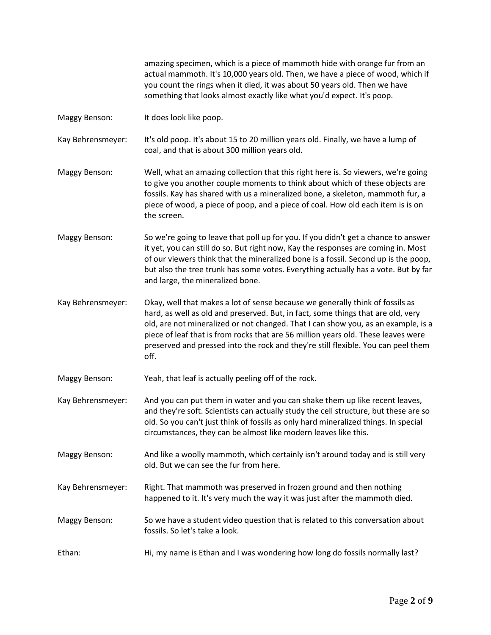amazing specimen, which is a piece of mammoth hide with orange fur from an actual mammoth. It's 10,000 years old. Then, we have a piece of wood, which if you count the rings when it died, it was about 50 years old. Then we have something that looks almost exactly like what you'd expect. It's poop.

Maggy Benson: It does look like poop.

Kay Behrensmeyer: It's old poop. It's about 15 to 20 million years old. Finally, we have a lump of coal, and that is about 300 million years old.

- Maggy Benson: Well, what an amazing collection that this right here is. So viewers, we're going to give you another couple moments to think about which of these objects are fossils. Kay has shared with us a mineralized bone, a skeleton, mammoth fur, a piece of wood, a piece of poop, and a piece of coal. How old each item is is on the screen.
- Maggy Benson: So we're going to leave that poll up for you. If you didn't get a chance to answer it yet, you can still do so. But right now, Kay the responses are coming in. Most of our viewers think that the mineralized bone is a fossil. Second up is the poop, but also the tree trunk has some votes. Everything actually has a vote. But by far and large, the mineralized bone.
- Kay Behrensmeyer: Okay, well that makes a lot of sense because we generally think of fossils as hard, as well as old and preserved. But, in fact, some things that are old, very old, are not mineralized or not changed. That I can show you, as an example, is a piece of leaf that is from rocks that are 56 million years old. These leaves were preserved and pressed into the rock and they're still flexible. You can peel them off.

Maggy Benson: Yeah, that leaf is actually peeling off of the rock.

- Kay Behrensmeyer: And you can put them in water and you can shake them up like recent leaves, and they're soft. Scientists can actually study the cell structure, but these are so old. So you can't just think of fossils as only hard mineralized things. In special circumstances, they can be almost like modern leaves like this.
- Maggy Benson: And like a woolly mammoth, which certainly isn't around today and is still very old. But we can see the fur from here.
- Kay Behrensmeyer: Right. That mammoth was preserved in frozen ground and then nothing happened to it. It's very much the way it was just after the mammoth died.
- Maggy Benson: So we have a student video question that is related to this conversation about fossils. So let's take a look.
- Ethan: Hi, my name is Ethan and I was wondering how long do fossils normally last?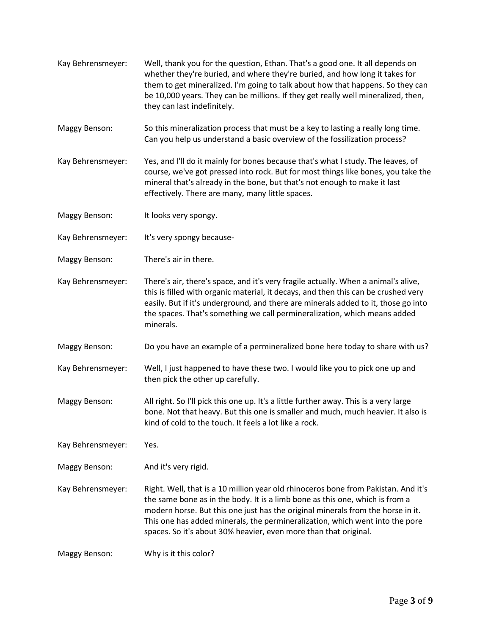- Kay Behrensmeyer: Well, thank you for the question, Ethan. That's a good one. It all depends on whether they're buried, and where they're buried, and how long it takes for them to get mineralized. I'm going to talk about how that happens. So they can be 10,000 years. They can be millions. If they get really well mineralized, then, they can last indefinitely.
- Maggy Benson: So this mineralization process that must be a key to lasting a really long time. Can you help us understand a basic overview of the fossilization process?
- Kay Behrensmeyer: Yes, and I'll do it mainly for bones because that's what I study. The leaves, of course, we've got pressed into rock. But for most things like bones, you take the mineral that's already in the bone, but that's not enough to make it last effectively. There are many, many little spaces.
- Maggy Benson: It looks very spongy.
- Kay Behrensmeyer: It's very spongy because-
- Maggy Benson: There's air in there.
- Kay Behrensmeyer: There's air, there's space, and it's very fragile actually. When a animal's alive, this is filled with organic material, it decays, and then this can be crushed very easily. But if it's underground, and there are minerals added to it, those go into the spaces. That's something we call permineralization, which means added minerals.
- Maggy Benson: Do you have an example of a permineralized bone here today to share with us?
- Kay Behrensmeyer: Well, I just happened to have these two. I would like you to pick one up and then pick the other up carefully.
- Maggy Benson: All right. So I'll pick this one up. It's a little further away. This is a very large bone. Not that heavy. But this one is smaller and much, much heavier. It also is kind of cold to the touch. It feels a lot like a rock.
- Kay Behrensmeyer: Yes.
- Maggy Benson: And it's very rigid.
- Kay Behrensmeyer: Right. Well, that is a 10 million year old rhinoceros bone from Pakistan. And it's the same bone as in the body. It is a limb bone as this one, which is from a modern horse. But this one just has the original minerals from the horse in it. This one has added minerals, the permineralization, which went into the pore spaces. So it's about 30% heavier, even more than that original.

Maggy Benson: Why is it this color?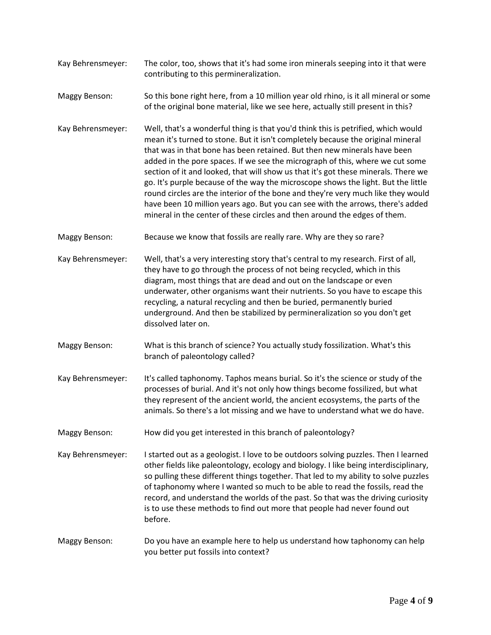- Kay Behrensmeyer: The color, too, shows that it's had some iron minerals seeping into it that were contributing to this permineralization.
- Maggy Benson: So this bone right here, from a 10 million year old rhino, is it all mineral or some of the original bone material, like we see here, actually still present in this?
- Kay Behrensmeyer: Well, that's a wonderful thing is that you'd think this is petrified, which would mean it's turned to stone. But it isn't completely because the original mineral that was in that bone has been retained. But then new minerals have been added in the pore spaces. If we see the micrograph of this, where we cut some section of it and looked, that will show us that it's got these minerals. There we go. It's purple because of the way the microscope shows the light. But the little round circles are the interior of the bone and they're very much like they would have been 10 million years ago. But you can see with the arrows, there's added mineral in the center of these circles and then around the edges of them.
- Maggy Benson: Because we know that fossils are really rare. Why are they so rare?
- Kay Behrensmeyer: Well, that's a very interesting story that's central to my research. First of all, they have to go through the process of not being recycled, which in this diagram, most things that are dead and out on the landscape or even underwater, other organisms want their nutrients. So you have to escape this recycling, a natural recycling and then be buried, permanently buried underground. And then be stabilized by permineralization so you don't get dissolved later on.
- Maggy Benson: What is this branch of science? You actually study fossilization. What's this branch of paleontology called?
- Kay Behrensmeyer: It's called taphonomy. Taphos means burial. So it's the science or study of the processes of burial. And it's not only how things become fossilized, but what they represent of the ancient world, the ancient ecosystems, the parts of the animals. So there's a lot missing and we have to understand what we do have.
- Maggy Benson: How did you get interested in this branch of paleontology?
- Kay Behrensmeyer: I started out as a geologist. I love to be outdoors solving puzzles. Then I learned other fields like paleontology, ecology and biology. I like being interdisciplinary, so pulling these different things together. That led to my ability to solve puzzles of taphonomy where I wanted so much to be able to read the fossils, read the record, and understand the worlds of the past. So that was the driving curiosity is to use these methods to find out more that people had never found out before.
- Maggy Benson: Do you have an example here to help us understand how taphonomy can help you better put fossils into context?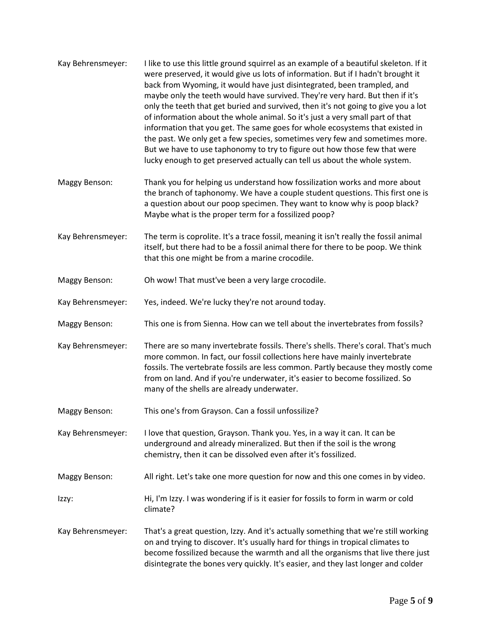| Kay Behrensmeyer: | I like to use this little ground squirrel as an example of a beautiful skeleton. If it<br>were preserved, it would give us lots of information. But if I hadn't brought it<br>back from Wyoming, it would have just disintegrated, been trampled, and<br>maybe only the teeth would have survived. They're very hard. But then if it's<br>only the teeth that get buried and survived, then it's not going to give you a lot<br>of information about the whole animal. So it's just a very small part of that<br>information that you get. The same goes for whole ecosystems that existed in<br>the past. We only get a few species, sometimes very few and sometimes more.<br>But we have to use taphonomy to try to figure out how those few that were<br>lucky enough to get preserved actually can tell us about the whole system. |
|-------------------|-----------------------------------------------------------------------------------------------------------------------------------------------------------------------------------------------------------------------------------------------------------------------------------------------------------------------------------------------------------------------------------------------------------------------------------------------------------------------------------------------------------------------------------------------------------------------------------------------------------------------------------------------------------------------------------------------------------------------------------------------------------------------------------------------------------------------------------------|
| Maggy Benson:     | Thank you for helping us understand how fossilization works and more about<br>the branch of taphonomy. We have a couple student questions. This first one is<br>a question about our poop specimen. They want to know why is poop black?<br>Maybe what is the proper term for a fossilized poop?                                                                                                                                                                                                                                                                                                                                                                                                                                                                                                                                        |
| Kay Behrensmeyer: | The term is coprolite. It's a trace fossil, meaning it isn't really the fossil animal<br>itself, but there had to be a fossil animal there for there to be poop. We think<br>that this one might be from a marine crocodile.                                                                                                                                                                                                                                                                                                                                                                                                                                                                                                                                                                                                            |
| Maggy Benson:     | Oh wow! That must've been a very large crocodile.                                                                                                                                                                                                                                                                                                                                                                                                                                                                                                                                                                                                                                                                                                                                                                                       |
| Kay Behrensmeyer: | Yes, indeed. We're lucky they're not around today.                                                                                                                                                                                                                                                                                                                                                                                                                                                                                                                                                                                                                                                                                                                                                                                      |
| Maggy Benson:     | This one is from Sienna. How can we tell about the invertebrates from fossils?                                                                                                                                                                                                                                                                                                                                                                                                                                                                                                                                                                                                                                                                                                                                                          |
| Kay Behrensmeyer: | There are so many invertebrate fossils. There's shells. There's coral. That's much<br>more common. In fact, our fossil collections here have mainly invertebrate<br>fossils. The vertebrate fossils are less common. Partly because they mostly come<br>from on land. And if you're underwater, it's easier to become fossilized. So<br>many of the shells are already underwater.                                                                                                                                                                                                                                                                                                                                                                                                                                                      |
| Maggy Benson:     | This one's from Grayson. Can a fossil unfossilize?                                                                                                                                                                                                                                                                                                                                                                                                                                                                                                                                                                                                                                                                                                                                                                                      |
| Kay Behrensmeyer: | I love that question, Grayson. Thank you. Yes, in a way it can. It can be<br>underground and already mineralized. But then if the soil is the wrong<br>chemistry, then it can be dissolved even after it's fossilized.                                                                                                                                                                                                                                                                                                                                                                                                                                                                                                                                                                                                                  |
| Maggy Benson:     | All right. Let's take one more question for now and this one comes in by video.                                                                                                                                                                                                                                                                                                                                                                                                                                                                                                                                                                                                                                                                                                                                                         |
| Izzy:             | Hi, I'm Izzy. I was wondering if is it easier for fossils to form in warm or cold<br>climate?                                                                                                                                                                                                                                                                                                                                                                                                                                                                                                                                                                                                                                                                                                                                           |
| Kay Behrensmeyer: | That's a great question, Izzy. And it's actually something that we're still working<br>on and trying to discover. It's usually hard for things in tropical climates to<br>become fossilized because the warmth and all the organisms that live there just<br>disintegrate the bones very quickly. It's easier, and they last longer and colder                                                                                                                                                                                                                                                                                                                                                                                                                                                                                          |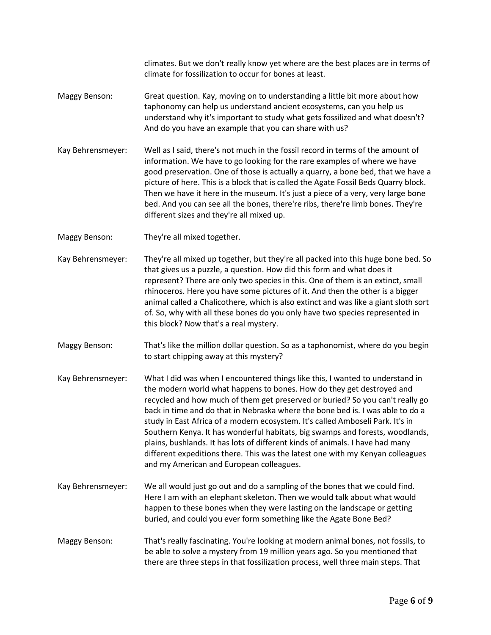climates. But we don't really know yet where are the best places are in terms of climate for fossilization to occur for bones at least.

- Maggy Benson: Great question. Kay, moving on to understanding a little bit more about how taphonomy can help us understand ancient ecosystems, can you help us understand why it's important to study what gets fossilized and what doesn't? And do you have an example that you can share with us?
- Kay Behrensmeyer: Well as I said, there's not much in the fossil record in terms of the amount of information. We have to go looking for the rare examples of where we have good preservation. One of those is actually a quarry, a bone bed, that we have a picture of here. This is a block that is called the Agate Fossil Beds Quarry block. Then we have it here in the museum. It's just a piece of a very, very large bone bed. And you can see all the bones, there're ribs, there're limb bones. They're different sizes and they're all mixed up.
- Maggy Benson: They're all mixed together.
- Kay Behrensmeyer: They're all mixed up together, but they're all packed into this huge bone bed. So that gives us a puzzle, a question. How did this form and what does it represent? There are only two species in this. One of them is an extinct, small rhinoceros. Here you have some pictures of it. And then the other is a bigger animal called a Chalicothere, which is also extinct and was like a giant sloth sort of. So, why with all these bones do you only have two species represented in this block? Now that's a real mystery.
- Maggy Benson: That's like the million dollar question. So as a taphonomist, where do you begin to start chipping away at this mystery?
- Kay Behrensmeyer: What I did was when I encountered things like this, I wanted to understand in the modern world what happens to bones. How do they get destroyed and recycled and how much of them get preserved or buried? So you can't really go back in time and do that in Nebraska where the bone bed is. I was able to do a study in East Africa of a modern ecosystem. It's called Amboseli Park. It's in Southern Kenya. It has wonderful habitats, big swamps and forests, woodlands, plains, bushlands. It has lots of different kinds of animals. I have had many different expeditions there. This was the latest one with my Kenyan colleagues and my American and European colleagues.
- Kay Behrensmeyer: We all would just go out and do a sampling of the bones that we could find. Here I am with an elephant skeleton. Then we would talk about what would happen to these bones when they were lasting on the landscape or getting buried, and could you ever form something like the Agate Bone Bed?
- Maggy Benson: That's really fascinating. You're looking at modern animal bones, not fossils, to be able to solve a mystery from 19 million years ago. So you mentioned that there are three steps in that fossilization process, well three main steps. That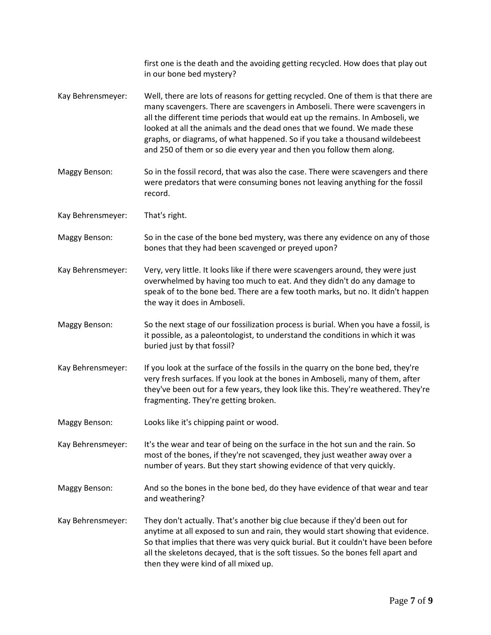|                      | first one is the death and the avoiding getting recycled. How does that play out<br>in our bone bed mystery?                                                                                                                                                                                                                                                                                                                                                                           |
|----------------------|----------------------------------------------------------------------------------------------------------------------------------------------------------------------------------------------------------------------------------------------------------------------------------------------------------------------------------------------------------------------------------------------------------------------------------------------------------------------------------------|
| Kay Behrensmeyer:    | Well, there are lots of reasons for getting recycled. One of them is that there are<br>many scavengers. There are scavengers in Amboseli. There were scavengers in<br>all the different time periods that would eat up the remains. In Amboseli, we<br>looked at all the animals and the dead ones that we found. We made these<br>graphs, or diagrams, of what happened. So if you take a thousand wildebeest<br>and 250 of them or so die every year and then you follow them along. |
| Maggy Benson:        | So in the fossil record, that was also the case. There were scavengers and there<br>were predators that were consuming bones not leaving anything for the fossil<br>record.                                                                                                                                                                                                                                                                                                            |
| Kay Behrensmeyer:    | That's right.                                                                                                                                                                                                                                                                                                                                                                                                                                                                          |
| Maggy Benson:        | So in the case of the bone bed mystery, was there any evidence on any of those<br>bones that they had been scavenged or preyed upon?                                                                                                                                                                                                                                                                                                                                                   |
| Kay Behrensmeyer:    | Very, very little. It looks like if there were scavengers around, they were just<br>overwhelmed by having too much to eat. And they didn't do any damage to<br>speak of to the bone bed. There are a few tooth marks, but no. It didn't happen<br>the way it does in Amboseli.                                                                                                                                                                                                         |
| Maggy Benson:        | So the next stage of our fossilization process is burial. When you have a fossil, is<br>it possible, as a paleontologist, to understand the conditions in which it was<br>buried just by that fossil?                                                                                                                                                                                                                                                                                  |
| Kay Behrensmeyer:    | If you look at the surface of the fossils in the quarry on the bone bed, they're<br>very fresh surfaces. If you look at the bones in Amboseli, many of them, after<br>they've been out for a few years, they look like this. They're weathered. They're<br>fragmenting. They're getting broken.                                                                                                                                                                                        |
| Maggy Benson:        | Looks like it's chipping paint or wood.                                                                                                                                                                                                                                                                                                                                                                                                                                                |
| Kay Behrensmeyer:    | It's the wear and tear of being on the surface in the hot sun and the rain. So<br>most of the bones, if they're not scavenged, they just weather away over a<br>number of years. But they start showing evidence of that very quickly.                                                                                                                                                                                                                                                 |
| <b>Maggy Benson:</b> | And so the bones in the bone bed, do they have evidence of that wear and tear<br>and weathering?                                                                                                                                                                                                                                                                                                                                                                                       |
| Kay Behrensmeyer:    | They don't actually. That's another big clue because if they'd been out for<br>anytime at all exposed to sun and rain, they would start showing that evidence.<br>So that implies that there was very quick burial. But it couldn't have been before<br>all the skeletons decayed, that is the soft tissues. So the bones fell apart and<br>then they were kind of all mixed up.                                                                                                       |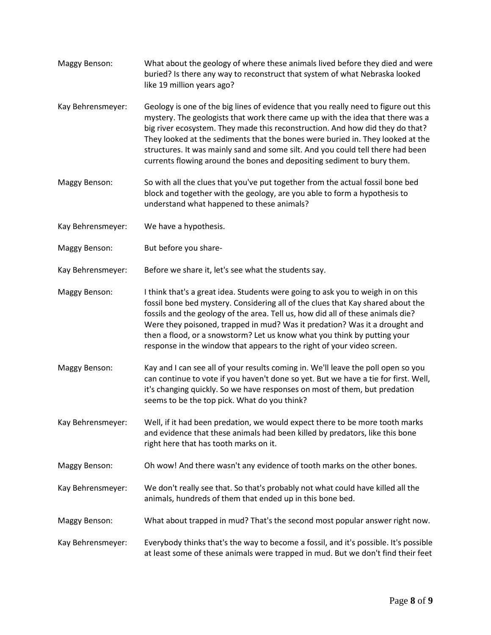- Maggy Benson: What about the geology of where these animals lived before they died and were buried? Is there any way to reconstruct that system of what Nebraska looked like 19 million years ago?
- Kay Behrensmeyer: Geology is one of the big lines of evidence that you really need to figure out this mystery. The geologists that work there came up with the idea that there was a big river ecosystem. They made this reconstruction. And how did they do that? They looked at the sediments that the bones were buried in. They looked at the structures. It was mainly sand and some silt. And you could tell there had been currents flowing around the bones and depositing sediment to bury them.
- Maggy Benson: So with all the clues that you've put together from the actual fossil bone bed block and together with the geology, are you able to form a hypothesis to understand what happened to these animals?
- Kay Behrensmeyer: We have a hypothesis.
- Maggy Benson: But before you share-
- Kay Behrensmeyer: Before we share it, let's see what the students say.
- Maggy Benson: I think that's a great idea. Students were going to ask you to weigh in on this fossil bone bed mystery. Considering all of the clues that Kay shared about the fossils and the geology of the area. Tell us, how did all of these animals die? Were they poisoned, trapped in mud? Was it predation? Was it a drought and then a flood, or a snowstorm? Let us know what you think by putting your response in the window that appears to the right of your video screen.
- Maggy Benson: Kay and I can see all of your results coming in. We'll leave the poll open so you can continue to vote if you haven't done so yet. But we have a tie for first. Well, it's changing quickly. So we have responses on most of them, but predation seems to be the top pick. What do you think?
- Kay Behrensmeyer: Well, if it had been predation, we would expect there to be more tooth marks and evidence that these animals had been killed by predators, like this bone right here that has tooth marks on it.
- Maggy Benson: Oh wow! And there wasn't any evidence of tooth marks on the other bones.
- Kay Behrensmeyer: We don't really see that. So that's probably not what could have killed all the animals, hundreds of them that ended up in this bone bed.
- Maggy Benson: What about trapped in mud? That's the second most popular answer right now.
- Kay Behrensmeyer: Everybody thinks that's the way to become a fossil, and it's possible. It's possible at least some of these animals were trapped in mud. But we don't find their feet